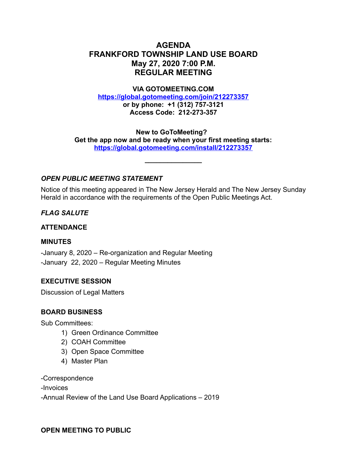# **AGENDA FRANKFORD TOWNSHIP LAND USE BOARD May 27, 2020 7:00 P.M. REGULAR MEETING**

#### **VIA GOTOMEETING.COM**

**<https://global.gotomeeting.com/join/212273357>**

**or by phone: +1 (312) 757-3121 Access Code: 212-273-357**

**New to GoToMeeting? Get the app now and be ready when your first meeting starts: <https://global.gotomeeting.com/install/212273357>**

**\_\_\_\_\_\_\_\_\_\_\_\_\_\_\_**

## *OPEN PUBLIC MEETING STATEMENT*

Notice of this meeting appeared in The New Jersey Herald and The New Jersey Sunday Herald in accordance with the requirements of the Open Public Meetings Act.

### *FLAG SALUTE*

### **ATTENDANCE**

### **MINUTES**

-January 8, 2020 – Re-organization and Regular Meeting -January 22, 2020 – Regular Meeting Minutes

### **EXECUTIVE SESSION**

Discussion of Legal Matters

### **BOARD BUSINESS**

Sub Committees:

- 1) Green Ordinance Committee
- 2) COAH Committee
- 3) Open Space Committee
- 4) Master Plan

-Correspondence

-Invoices

-Annual Review of the Land Use Board Applications – 2019

### **OPEN MEETING TO PUBLIC**